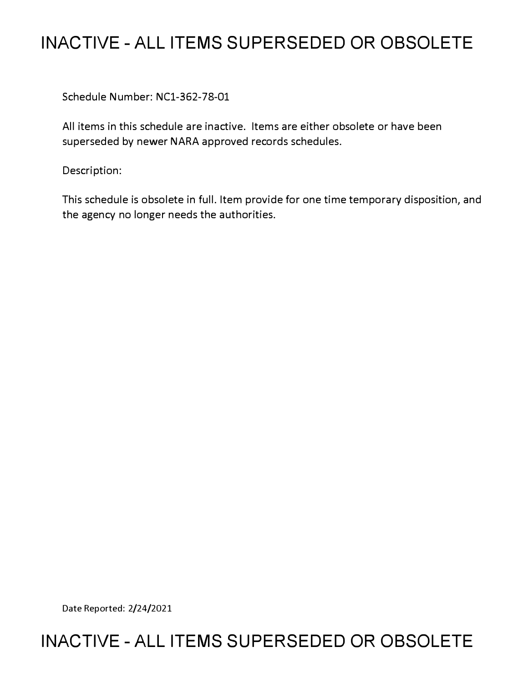## **INACTIVE - ALL ITEMS SUPERSEDED OR OBSOLETE**

Schedule Number: NCl-362-78-01

All items in this schedule are inactive. Items are either obsolete or have been superseded by newer NARA approved records schedules.

Description:

This schedule is obsolete in full. Item provide for one time temporary disposition, and the agency no longer needs the authorities.

Date Reported: 2/24/2021

## **INACTIVE - ALL ITEMS SUPERSEDED OR OBSOLETE**